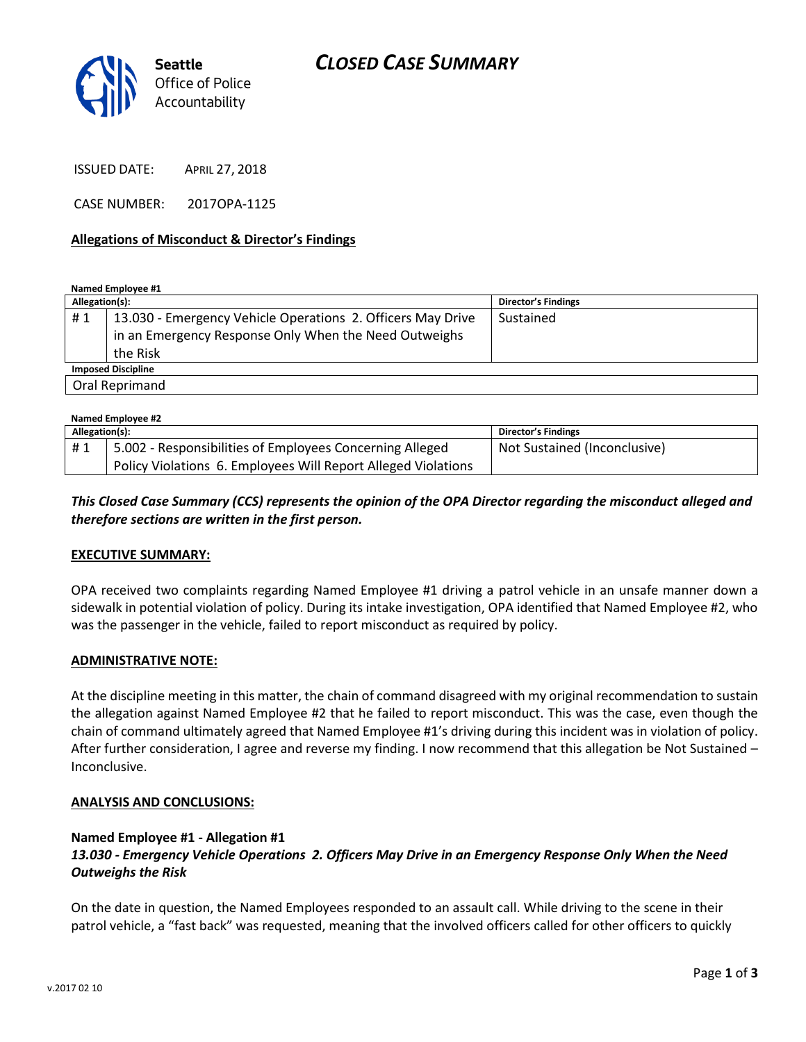

ISSUED DATE: APRIL 27, 2018

CASE NUMBER: 2017OPA-1125

#### **Allegations of Misconduct & Director's Findings**

**Named Employee #1**

| Allegation(s):            |                                                             | <b>Director's Findings</b> |  |
|---------------------------|-------------------------------------------------------------|----------------------------|--|
| #1                        | 13.030 - Emergency Vehicle Operations 2. Officers May Drive | Sustained                  |  |
|                           | in an Emergency Response Only When the Need Outweighs       |                            |  |
|                           | the Risk                                                    |                            |  |
| <b>Imposed Discipline</b> |                                                             |                            |  |
| Oral Reprimand            |                                                             |                            |  |

| Named Employee #2 |                                                               |                              |  |
|-------------------|---------------------------------------------------------------|------------------------------|--|
| Allegation(s):    |                                                               | Director's Findings          |  |
| #1                | 5.002 - Responsibilities of Employees Concerning Alleged      | Not Sustained (Inconclusive) |  |
|                   | Policy Violations 6. Employees Will Report Alleged Violations |                              |  |

## *This Closed Case Summary (CCS) represents the opinion of the OPA Director regarding the misconduct alleged and therefore sections are written in the first person.*

#### **EXECUTIVE SUMMARY:**

OPA received two complaints regarding Named Employee #1 driving a patrol vehicle in an unsafe manner down a sidewalk in potential violation of policy. During its intake investigation, OPA identified that Named Employee #2, who was the passenger in the vehicle, failed to report misconduct as required by policy.

#### **ADMINISTRATIVE NOTE:**

At the discipline meeting in this matter, the chain of command disagreed with my original recommendation to sustain the allegation against Named Employee #2 that he failed to report misconduct. This was the case, even though the chain of command ultimately agreed that Named Employee #1's driving during this incident was in violation of policy. After further consideration, I agree and reverse my finding. I now recommend that this allegation be Not Sustained – Inconclusive.

#### **ANALYSIS AND CONCLUSIONS:**

#### **Named Employee #1 - Allegation #1**

## *13.030 - Emergency Vehicle Operations 2. Officers May Drive in an Emergency Response Only When the Need Outweighs the Risk*

On the date in question, the Named Employees responded to an assault call. While driving to the scene in their patrol vehicle, a "fast back" was requested, meaning that the involved officers called for other officers to quickly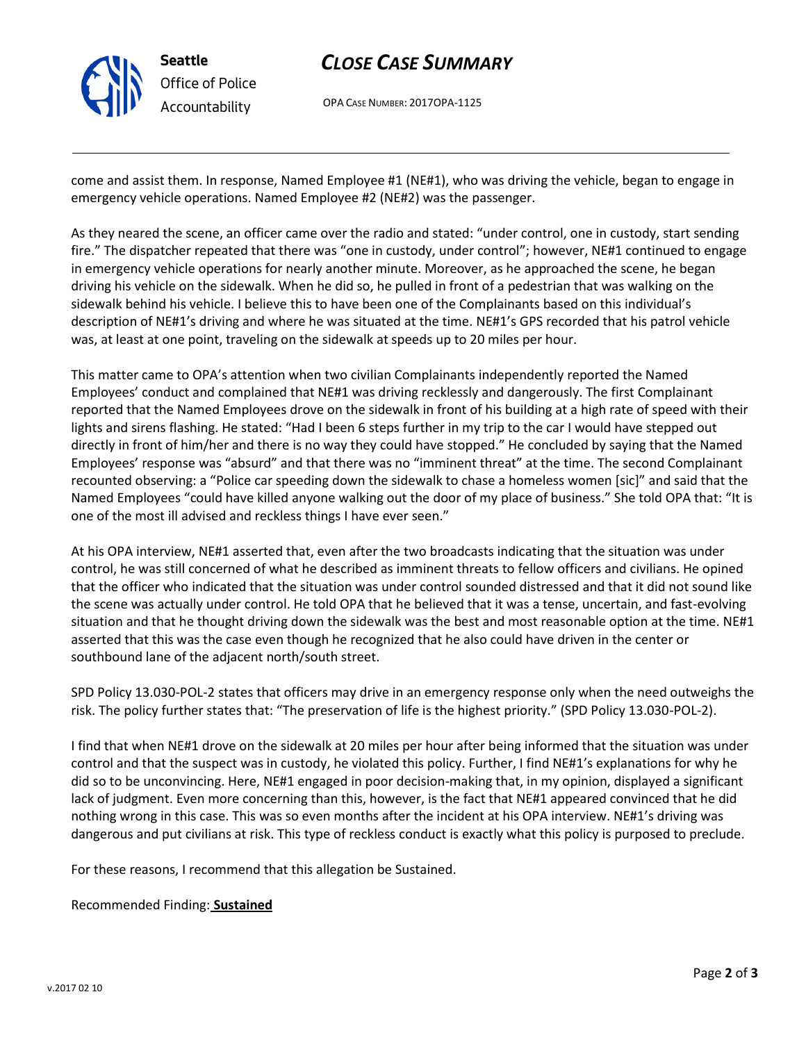

# *CLOSE CASE SUMMARY*

OPA CASE NUMBER: 2017OPA-1125

come and assist them. In response, Named Employee #1 (NE#1), who was driving the vehicle, began to engage in emergency vehicle operations. Named Employee #2 (NE#2) was the passenger.

As they neared the scene, an officer came over the radio and stated: "under control, one in custody, start sending fire." The dispatcher repeated that there was "one in custody, under control"; however, NE#1 continued to engage in emergency vehicle operations for nearly another minute. Moreover, as he approached the scene, he began driving his vehicle on the sidewalk. When he did so, he pulled in front of a pedestrian that was walking on the sidewalk behind his vehicle. I believe this to have been one of the Complainants based on this individual's description of NE#1's driving and where he was situated at the time. NE#1's GPS recorded that his patrol vehicle was, at least at one point, traveling on the sidewalk at speeds up to 20 miles per hour.

This matter came to OPA's attention when two civilian Complainants independently reported the Named Employees' conduct and complained that NE#1 was driving recklessly and dangerously. The first Complainant reported that the Named Employees drove on the sidewalk in front of his building at a high rate of speed with their lights and sirens flashing. He stated: "Had I been 6 steps further in my trip to the car I would have stepped out directly in front of him/her and there is no way they could have stopped." He concluded by saying that the Named Employees' response was "absurd" and that there was no "imminent threat" at the time. The second Complainant recounted observing: a "Police car speeding down the sidewalk to chase a homeless women [sic]" and said that the Named Employees "could have killed anyone walking out the door of my place of business." She told OPA that: "It is one of the most ill advised and reckless things I have ever seen."

At his OPA interview, NE#1 asserted that, even after the two broadcasts indicating that the situation was under control, he was still concerned of what he described as imminent threats to fellow officers and civilians. He opined that the officer who indicated that the situation was under control sounded distressed and that it did not sound like the scene was actually under control. He told OPA that he believed that it was a tense, uncertain, and fast-evolving situation and that he thought driving down the sidewalk was the best and most reasonable option at the time. NE#1 asserted that this was the case even though he recognized that he also could have driven in the center or southbound lane of the adjacent north/south street.

SPD Policy 13.030-POL-2 states that officers may drive in an emergency response only when the need outweighs the risk. The policy further states that: "The preservation of life is the highest priority." (SPD Policy 13.030-POL-2).

I find that when NE#1 drove on the sidewalk at 20 miles per hour after being informed that the situation was under control and that the suspect was in custody, he violated this policy. Further, I find NE#1's explanations for why he did so to be unconvincing. Here, NE#1 engaged in poor decision-making that, in my opinion, displayed a significant lack of judgment. Even more concerning than this, however, is the fact that NE#1 appeared convinced that he did nothing wrong in this case. This was so even months after the incident at his OPA interview. NE#1's driving was dangerous and put civilians at risk. This type of reckless conduct is exactly what this policy is purposed to preclude.

For these reasons, I recommend that this allegation be Sustained.

Recommended Finding: **Sustained**